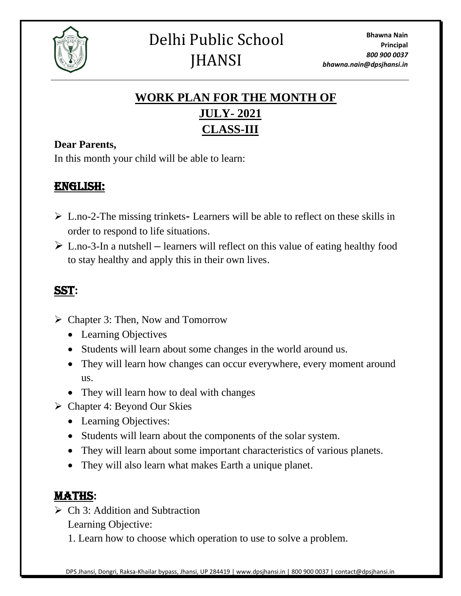

# **WORK PLAN FOR THE MONTH OF JULY- 2021 CLASS-III**

#### **Dear Parents,**

In this month your child will be able to learn:

## ENGLISH:

- ➢ L.no-2-The missing trinkets**-** Learners will be able to reflect on these skills in order to respond to life situations.
- ➢ L.no-3-In a nutshell **–** learners will reflect on this value of eating healthy food to stay healthy and apply this in their own lives.

## SST**:**

- ➢ Chapter 3: Then, Now and Tomorrow
	- Learning Objectives
	- Students will learn about some changes in the world around us.
	- They will learn how changes can occur everywhere, every moment around us.
	- They will learn how to deal with changes
- ➢ Chapter 4: Beyond Our Skies
	- Learning Objectives:
	- Students will learn about the components of the solar system.
	- They will learn about some important characteristics of various planets.
	- They will also learn what makes Earth a unique planet.

### MATHS**:**

- $\triangleright$  Ch 3: Addition and Subtraction Learning Objective:
	- 1. Learn how to choose which operation to use to solve a problem.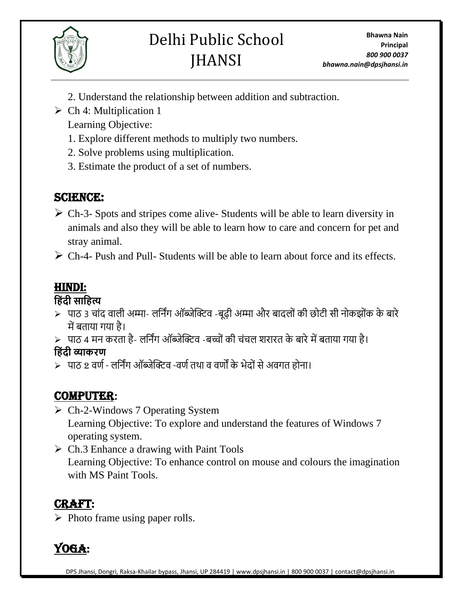

# Delhi Public School **JHANSI**

- 2. Understand the relationship between addition and subtraction.
- $\triangleright$  Ch 4: Multiplication 1 Learning Objective:
	- 1. Explore different methods to multiply two numbers.
	- 2. Solve problems using multiplication.
	- 3. Estimate the product of a set of numbers.

## SCIENCE:

- $\triangleright$  Ch-3- Spots and stripes come alive-Students will be able to learn diversity in animals and also they will be able to learn how to care and concern for pet and stray animal.
- $\triangleright$  Ch-4- Push and Pull- Students will be able to learn about force and its effects.

# HINDI:

### **ह िंदी साह त्य**

- ≻ पाठ 3 चांद वाली अम्मा- लर्निंग ऑब्जेक्टिव -बूढ़ी अम्मा और बादलों की छोटी सी नोकझोंक के बारे मेंबताया गया है।
- $>$  पाठ 4 मन करता है- लर्निंग ऑब्जेक्टिव -बच्चों की चंचल शरारत के बारे में बताया गया है।

**ह िंदी व्याकरण**

➢ पाठ 2 वर्ण- लर्निंग ऑब्जेक्टिव -वर्णतथा व वर्ों के भेद ांसेअवगत ह ना।

# COMPUTER**:**

- ➢ Ch-2-Windows 7 Operating System Learning Objective: To explore and understand the features of Windows 7 operating system.
- $\triangleright$  Ch.3 Enhance a drawing with Paint Tools Learning Objective: To enhance control on mouse and colours the imagination with MS Paint Tools.

# Craft:

 $\triangleright$  Photo frame using paper rolls.

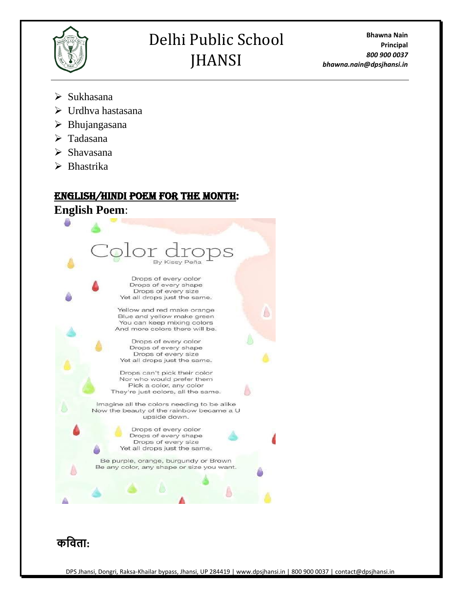

# Delhi Public School JHANSI

**Bhawna Nain Principal** *800 900 0037 bhawna.nain@dpsjhansi.in*

- ➢ Sukhasana
- ➢ Urdhva hastasana
- ➢ Bhujangasana
- ➢ Tadasana
- ➢ Shavasana
- ➢ Bhastrika

#### English/Hindi poem for the month:

**English Poem**: